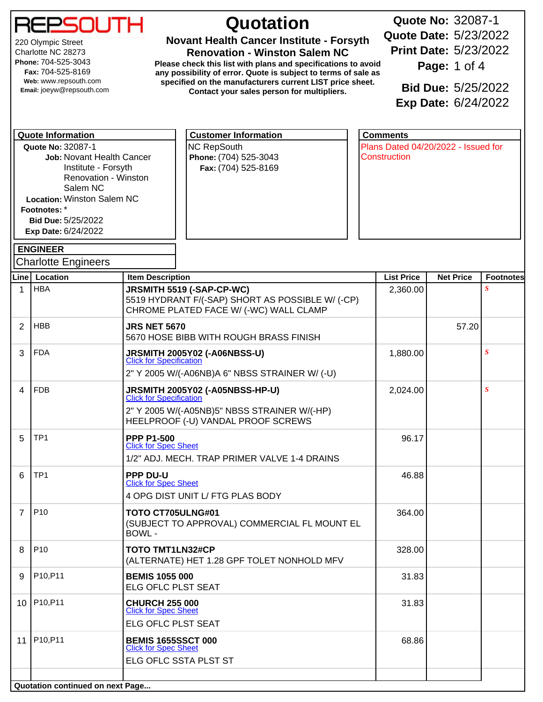

220 Olympic Street Charlotte NC 28273 **Phone:** 704-525-3043 **Fax:** 704-525-8169 **Web:** www.repsouth.com **Email:** joeyw@repsouth.com

## **Quotation**

**Novant Health Cancer Institute - Forsyth**

**Renovation - Winston Salem NC Please check this list with plans and specifications to avoid any possibility of error. Quote is subject to terms of sale as specified on the manufacturers current LIST price sheet. Contact your sales person for multipliers.**

**Quote No:** 32087-1 **Quote Date:** 5/23/2022 **Print Date:** 5/23/2022 **Page:** 1 of 4 **Bid Due:** 5/25/2022 **Exp Date:** 6/24/2022

**Quote No:**32087-1 **Job:** Novant Health Cancer Institute - Forsyth Renovation - Winston Salem NC **Location:** Winston Salem NC **Footnotes:** \* **Bid Due:**5/25/2022 **Exp Date:**6/24/2022 NC RepSouth **Phone:** (704) 525-3043 **Fax:** (704) 525-8169 Plans Dated 04/20/2022 - Issued for **Construction Quote Information Customer Information Comments ENGINEER** Charlotte Engineers **Line Location Item Description List Price Net Price Footnotes** 1 HBA **JRSMITH 5519 (-SAP-CP-WC)** 2,360.00 *S* 5519 HYDRANT F/(-SAP) SHORT AS POSSIBLE W/ (-CP) CHROME PLATED FACE W/ (-WC) WALL CLAMP 2 HBB **JRS NET 5670** 57.20 5670 HOSE BIBB WITH ROUGH BRASS FINISH 3 FDA **JRSMITH 2005Y02 (-A06NBSS-U)** 1,880.00 *S* **[Click for Specification](http://www.jrsmith.com/uploads/fileLibrary/d2005_ss.pdf)** 2" Y 2005 W/(-A06NB)A 6" NBSS STRAINER W/ (-U) 4 FDB **JRSMITH 2005Y02 (-A05NBSS-HP-U)** 2,024.00 *S* **[Click for Specification](http://www.jrsmith.com/assets/documents/submittals/d2005.pdf)** 2" Y 2005 W/(-A05NB)5" NBSS STRAINER W/(-HP) HEELPROOF (-U) VANDAL PROOF SCREWS 5 TP1 **PPP P1-500** 96.17 [Click for Spec Sheet](http://www.pppinc.net/products/trap-primers/pressure-drop-activated-trap-primer/automatic-trap-primer-valves-12-inletoutlet-pressure-drop-type/p-1-and-p-2-series-trap-primer-valve.html) 1/2" ADJ. MECH. TRAP PRIMER VALVE 1-4 DRAINS 6 TP1 **PPP DU-U** 46.88 **[Click for Spec Sheet](http://www.pppinc.net/products/water-distributors/trap-primer-distribution-units/du-molded/floor-drain-trap-primer-fresh-water-distribution-systems.html)** 4 OPG DIST UNIT L/ FTG PLAS BODY 7 P10 **TOTO CT705ULNG#01** 364.00 (SUBJECT TO APPROVAL) COMMERCIAL FL MOUNT EL BOWL - 8 P10 **TOTO TMT1LN32#CP** 328.00 (ALTERNATE) HET 1.28 GPF TOLET NONHOLD MFV 9 P10,P11 **BEMIS 1055 000** 31.83 ELG OFLC PLST SEAT 10 P10,P11 **CHURCH 255 000** 31.83 [Click for Spec Sheet](http://www.churchseats.com/catalog/specification-sheets/) ELG OFLC PLST SEAT

11 P10,P11 **BEMIS 1655SSCT 000** 68.86

Click for Spec Shee

ELG OFLC SSTA PLST ST

**Quotation continued on next Page...**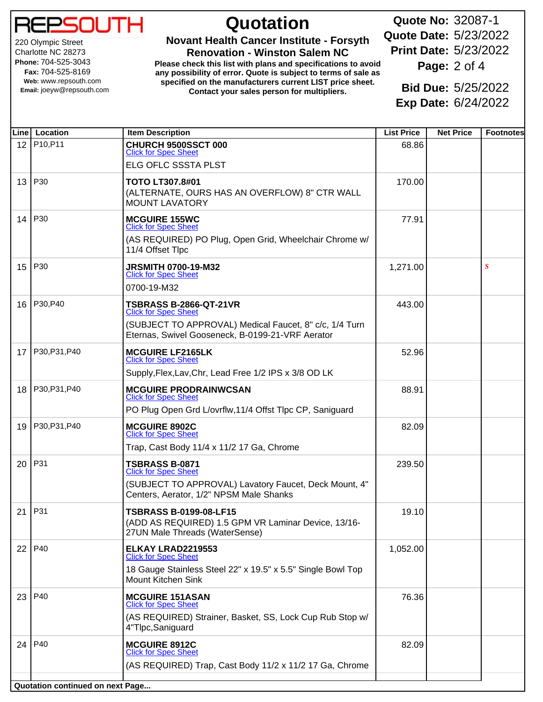ורה

220 Olympic Street Charlotte NC 28273 **Phone:** 704-525-3043 **Fax:** 704-525-8169 **Web:** www.repsouth.com **Email:** joeyw@repsouth.com

## **Quotation**

**Novant Health Cancer Institute - Forsyth**

**Renovation - Winston Salem NC Please check this list with plans and specifications to avoid any possibility of error. Quote is subject to terms of sale as specified on the manufacturers current LIST price sheet. Contact your sales person for multipliers.**

**Quote No:** 32087-1 **Quote Date:** 5/23/2022 **Print Date:** 5/23/2022

**Page:** 2 of 4

**Bid Due:** 5/25/2022 **Exp Date:** 6/24/2022

|    | Line   Location                  | <b>Item Description</b>                                                                                                | <b>List Price</b> | <b>Net Price</b> | <b>Footnotes</b> |
|----|----------------------------------|------------------------------------------------------------------------------------------------------------------------|-------------------|------------------|------------------|
| 12 | P10, P11                         | CHURCH 9500SSCT 000<br><b>Click for Spec Sheet</b>                                                                     | 68.86             |                  |                  |
|    |                                  | ELG OFLC SSSTA PLST                                                                                                    |                   |                  |                  |
| 13 | P30                              | <b>TOTO LT307.8#01</b><br>(ALTERNATE, OURS HAS AN OVERFLOW) 8" CTR WALL<br><b>MOUNT LAVATORY</b>                       | 170.00            |                  |                  |
| 14 | P30                              | <b>MCGUIRE 155WC</b><br><b>Click for Spec Sheet</b>                                                                    | 77.91             |                  |                  |
|    |                                  | (AS REQUIRED) PO Plug, Open Grid, Wheelchair Chrome w/<br>11/4 Offset Tlpc                                             |                   |                  |                  |
| 15 | P30                              | <b>JRSMITH 0700-19-M32</b><br><b>Click for Spec Sheet</b>                                                              | 1,271.00          |                  | S                |
|    |                                  | 0700-19-M32                                                                                                            |                   |                  |                  |
| 16 | P30, P40                         | <b>TSBRASS B-2866-QT-21VR</b><br><b>Click for Spec Sheet</b>                                                           | 443.00            |                  |                  |
|    |                                  | (SUBJECT TO APPROVAL) Medical Faucet, 8" c/c, 1/4 Turn<br>Eternas, Swivel Gooseneck, B-0199-21-VRF Aerator             |                   |                  |                  |
| 17 | P30, P31, P40                    | <b>MCGUIRE LF2165LK</b><br><b>Click for Spec Sheet</b>                                                                 | 52.96             |                  |                  |
|    |                                  | Supply, Flex, Lav, Chr, Lead Free 1/2 IPS x 3/8 OD LK                                                                  |                   |                  |                  |
| 18 | P30, P31, P40                    | <b>MCGUIRE PRODRAINWCSAN</b><br><b>Click for Spec Sheet</b>                                                            | 88.91             |                  |                  |
|    |                                  | PO Plug Open Grd L/ovrflw, 11/4 Offst Tlpc CP, Saniguard                                                               |                   |                  |                  |
| 19 | P30, P31, P40                    | <b>MCGUIRE 8902C</b><br><b>Click for Spec Sheet</b>                                                                    | 82.09             |                  |                  |
|    |                                  | Trap, Cast Body 11/4 x 11/2 17 Ga, Chrome                                                                              |                   |                  |                  |
| 20 | P31                              | <b>TSBRASS B-0871</b><br><b>Click for Spec Sheet</b>                                                                   | 239.50            |                  |                  |
|    |                                  | (SUBJECT TO APPROVAL) Lavatory Faucet, Deck Mount, 4"<br>Centers, Aerator, 1/2" NPSM Male Shanks                       |                   |                  |                  |
| 21 | P31                              | <b>TSBRASS B-0199-08-LF15</b><br>(ADD AS REQUIRED) 1.5 GPM VR Laminar Device, 13/16-<br>27UN Male Threads (WaterSense) | 19.10             |                  |                  |
| 22 | P40                              | ELKAY LRAD2219553<br><b>Click for Spec Sheet</b>                                                                       | 1,052.00          |                  |                  |
|    |                                  | 18 Gauge Stainless Steel 22" x 19.5" x 5.5" Single Bowl Top<br>Mount Kitchen Sink                                      |                   |                  |                  |
| 23 | P40                              | <b>MCGUIRE 151ASAN</b><br><b>Click for Spec Sheet</b>                                                                  | 76.36             |                  |                  |
|    |                                  | (AS REQUIRED) Strainer, Basket, SS, Lock Cup Rub Stop w/<br>4"Tlpc,Saniguard                                           |                   |                  |                  |
| 24 | P40                              | <b>MCGUIRE 8912C</b><br><b>Click for Spec Sheet</b>                                                                    | 82.09             |                  |                  |
|    |                                  | (AS REQUIRED) Trap, Cast Body 11/2 x 11/2 17 Ga, Chrome                                                                |                   |                  |                  |
|    | Quotation continued on next Page |                                                                                                                        |                   |                  |                  |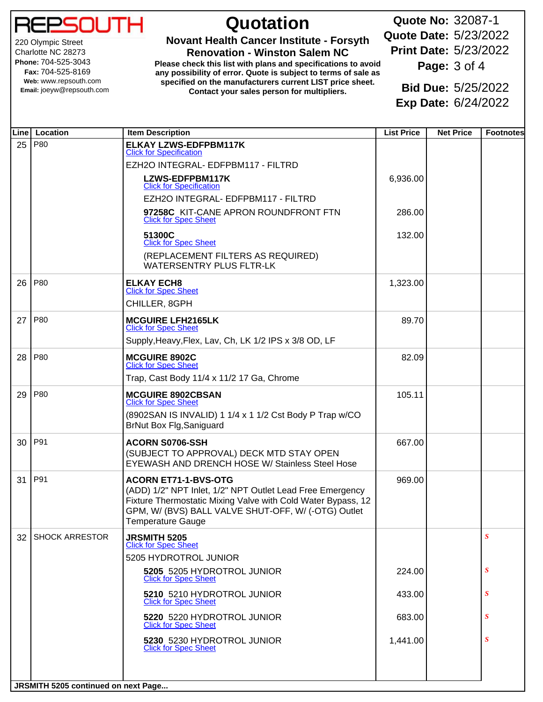220 Olympic Street Charlotte NC 28273 **Phone:** 704-525-3043 **Fax:** 704-525-8169 **Web:** www.repsouth.com **Email:** joeyw@repsouth.com

## **Quotation**

**Novant Health Cancer Institute - Forsyth**

**Renovation - Winston Salem NC Please check this list with plans and specifications to avoid any possibility of error. Quote is subject to terms of sale as specified on the manufacturers current LIST price sheet. Contact your sales person for multipliers.**

**Quote No:** 32087-1 **Quote Date:** 5/23/2022 **Print Date:** 5/23/2022 **Page:** 3 of 4

**Bid Due:** 5/25/2022 **Exp Date:** 6/24/2022

|                 | Line Location       | <b>Item Description</b>                                                                                                                                                                                                              | <b>List Price</b> | <b>Net Price</b> | <b>Footnotes</b> |
|-----------------|---------------------|--------------------------------------------------------------------------------------------------------------------------------------------------------------------------------------------------------------------------------------|-------------------|------------------|------------------|
| 25              | P80                 | <b>ELKAY LZWS-EDFPBM117K</b><br><b>Click for Specification</b>                                                                                                                                                                       |                   |                  |                  |
|                 |                     | EZH2O INTEGRAL- EDFPBM117 - FILTRD                                                                                                                                                                                                   |                   |                  |                  |
|                 |                     | LZWS-EDFPBM117K<br><b>Click for Specification</b>                                                                                                                                                                                    | 6,936.00          |                  |                  |
|                 |                     | EZH2O INTEGRAL- EDFPBM117 - FILTRD                                                                                                                                                                                                   |                   |                  |                  |
|                 |                     | 97258C KIT-CANE APRON ROUNDFRONT FTN<br><b>Click for Spec Sheet</b>                                                                                                                                                                  | 286.00            |                  |                  |
|                 |                     | 51300C<br><b>Click for Spec Sheet</b>                                                                                                                                                                                                | 132.00            |                  |                  |
|                 |                     | (REPLACEMENT FILTERS AS REQUIRED)<br><b>WATERSENTRY PLUS FLTR-LK</b>                                                                                                                                                                 |                   |                  |                  |
|                 | 26   P80            | <b>ELKAY ECH8</b><br><b>Click for Spec Sheet</b>                                                                                                                                                                                     | 1,323.00          |                  |                  |
|                 |                     | CHILLER, 8GPH                                                                                                                                                                                                                        |                   |                  |                  |
| 27              | P80                 | <b>MCGUIRE LFH2165LK</b><br><b>Click for Spec Sheet</b>                                                                                                                                                                              | 89.70             |                  |                  |
|                 |                     | Supply, Heavy, Flex, Lav, Ch, LK 1/2 IPS x 3/8 OD, LF                                                                                                                                                                                |                   |                  |                  |
| 28 <sup>1</sup> | P80                 | <b>MCGUIRE 8902C</b><br><b>Click for Spec Sheet</b>                                                                                                                                                                                  | 82.09             |                  |                  |
|                 |                     | Trap, Cast Body 11/4 x 11/2 17 Ga, Chrome                                                                                                                                                                                            |                   |                  |                  |
| 29              | P80                 | <b>MCGUIRE 8902CBSAN</b><br><b>Click for Spec Sheet</b>                                                                                                                                                                              | 105.11            |                  |                  |
|                 |                     | (8902SAN IS INVALID) 1 1/4 x 1 1/2 Cst Body P Trap w/CO<br>BrNut Box Flg, Saniguard                                                                                                                                                  |                   |                  |                  |
|                 | 30   P91            | <b>ACORN S0706-SSH</b><br>(SUBJECT TO APPROVAL) DECK MTD STAY OPEN<br><b>EYEWASH AND DRENCH HOSE W/ Stainless Steel Hose</b>                                                                                                         | 667.00            |                  |                  |
| 31              | P91                 | <b>ACORN ET71-1-BVS-OTG</b><br>(ADD) 1/2" NPT Inlet, 1/2" NPT Outlet Lead Free Emergency<br>Fixture Thermostatic Mixing Valve with Cold Water Bypass, 12<br>GPM, W/ (BVS) BALL VALVE SHUT-OFF, W/ (-OTG) Outlet<br>Temperature Gauge | 969.00            |                  |                  |
|                 | 32   SHOCK ARRESTOR | <b>JRSMITH 5205</b><br><b>Click for Spec Sheet</b>                                                                                                                                                                                   |                   |                  | $\boldsymbol{S}$ |
|                 |                     | 5205 HYDROTROL JUNIOR                                                                                                                                                                                                                |                   |                  |                  |
|                 |                     | 5205 5205 HYDROTROL JUNIOR<br><b>Click for Spec Sheet</b>                                                                                                                                                                            | 224.00            |                  | $\boldsymbol{S}$ |
|                 |                     | 5210 5210 HYDROTROL JUNIOR<br><b>Click for Spec Sheet</b>                                                                                                                                                                            | 433.00            |                  | $\boldsymbol{S}$ |
|                 |                     | 5220 5220 HYDROTROL JUNIOR<br><b>Click for Spec Sheet</b>                                                                                                                                                                            | 683.00            |                  | $\boldsymbol{S}$ |
|                 |                     | 5230 5230 HYDROTROL JUNIOR<br><b>Click for Spec Sheet</b>                                                                                                                                                                            | 1,441.00          |                  | $\boldsymbol{S}$ |
|                 |                     |                                                                                                                                                                                                                                      |                   |                  |                  |